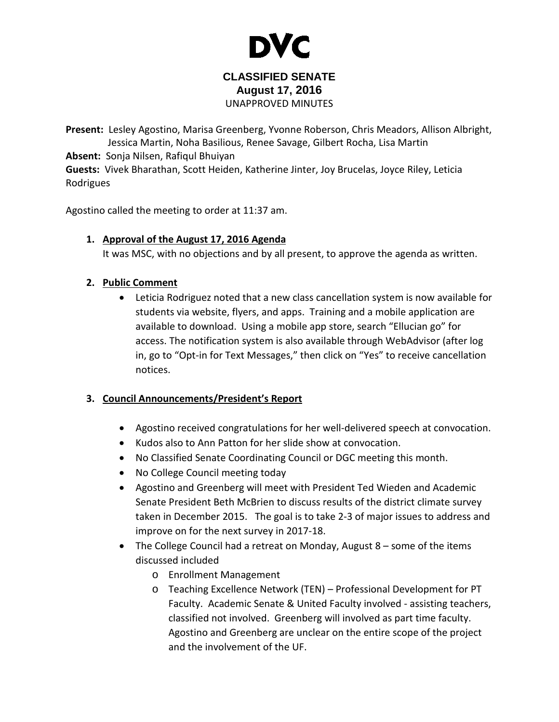

# **CLASSIFIED SENATE August 17, 2016** UNAPPROVED MINUTES

**Present:** Lesley Agostino, Marisa Greenberg, Yvonne Roberson, Chris Meadors, Allison Albright, Jessica Martin, Noha Basilious, Renee Savage, Gilbert Rocha, Lisa Martin **Absent:** Sonja Nilsen, Rafiqul Bhuiyan **Guests:** Vivek Bharathan, Scott Heiden, Katherine Jinter, Joy Brucelas, Joyce Riley, Leticia Rodrigues

Agostino called the meeting to order at 11:37 am.

# **1. Approval of the August 17, 2016 Agenda**

It was MSC, with no objections and by all present, to approve the agenda as written.

#### **2. Public Comment**

• Leticia Rodriguez noted that a new class cancellation system is now available for students via website, flyers, and apps. Training and a mobile application are available to download. Using a mobile app store, search "Ellucian go" for access. The notification system is also available through WebAdvisor (after log in, go to "Opt-in for Text Messages," then click on "Yes" to receive cancellation notices.

# **3. Council Announcements/President's Report**

- Agostino received congratulations for her well-delivered speech at convocation.
- Kudos also to Ann Patton for her slide show at convocation.
- No Classified Senate Coordinating Council or DGC meeting this month.
- No College Council meeting today
- Agostino and Greenberg will meet with President Ted Wieden and Academic Senate President Beth McBrien to discuss results of the district climate survey taken in December 2015. The goal is to take 2-3 of major issues to address and improve on for the next survey in 2017-18.
- The College Council had a retreat on Monday, August 8 some of the items discussed included
	- o Enrollment Management
	- o Teaching Excellence Network (TEN) Professional Development for PT Faculty. Academic Senate & United Faculty involved - assisting teachers, classified not involved. Greenberg will involved as part time faculty. Agostino and Greenberg are unclear on the entire scope of the project and the involvement of the UF.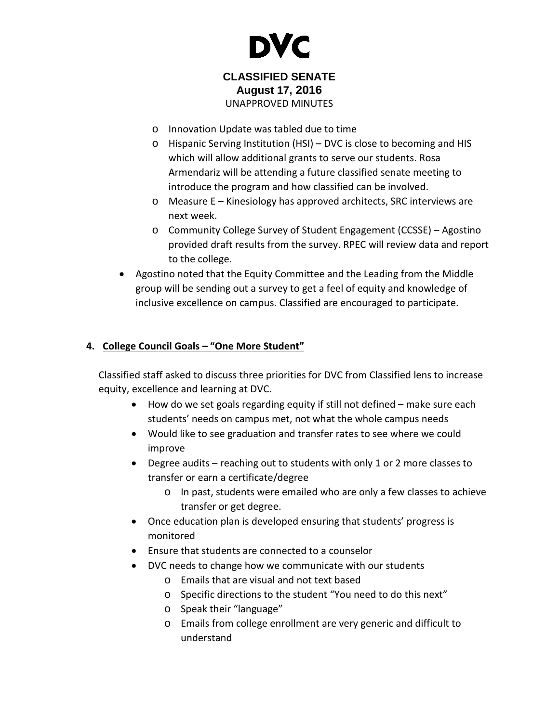

# **CLASSIFIED SENATE August 17, 2016** UNAPPROVED MINUTES

- o Innovation Update was tabled due to time
- o Hispanic Serving Institution (HSI) DVC is close to becoming and HIS which will allow additional grants to serve our students. Rosa Armendariz will be attending a future classified senate meeting to introduce the program and how classified can be involved.
- o Measure E Kinesiology has approved architects, SRC interviews are next week.
- o Community College Survey of Student Engagement (CCSSE) Agostino provided draft results from the survey. RPEC will review data and report to the college.
- Agostino noted that the Equity Committee and the Leading from the Middle group will be sending out a survey to get a feel of equity and knowledge of inclusive excellence on campus. Classified are encouraged to participate.

# **4. College Council Goals – "One More Student"**

Classified staff asked to discuss three priorities for DVC from Classified lens to increase equity, excellence and learning at DVC.

- How do we set goals regarding equity if still not defined make sure each students' needs on campus met, not what the whole campus needs
- Would like to see graduation and transfer rates to see where we could improve
- Degree audits reaching out to students with only 1 or 2 more classes to transfer or earn a certificate/degree
	- o In past, students were emailed who are only a few classes to achieve transfer or get degree.
- Once education plan is developed ensuring that students' progress is monitored
- Ensure that students are connected to a counselor
- DVC needs to change how we communicate with our students
	- o Emails that are visual and not text based
	- o Specific directions to the student "You need to do this next"
	- o Speak their "language"
	- o Emails from college enrollment are very generic and difficult to understand